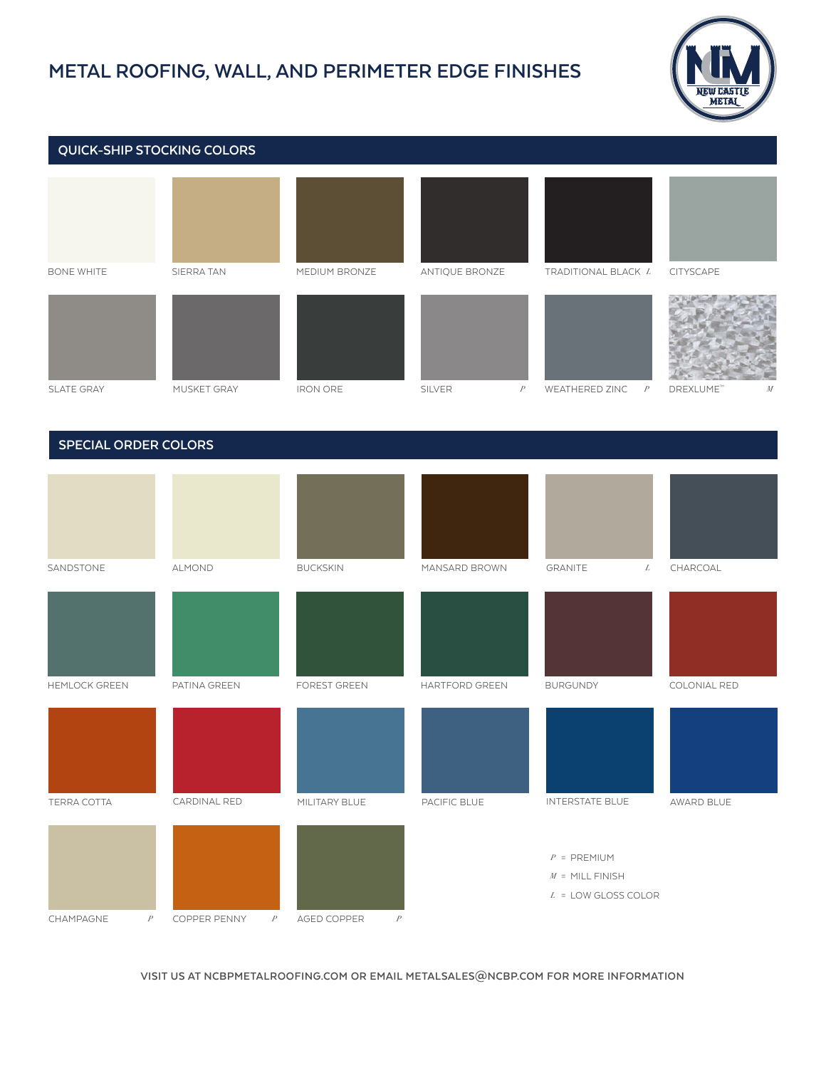## **METAL ROOFING, WALL, AND PERIMETER EDGE FINISHES**



## BONE WHITE SIERRA TAN MEDIUM BRONZE ANTIQUE BRONZE TRADITIONAL BLACK *L* CITYSCAPE SLATE GRAY MUSKET GRAY IRON ORE SILVER *P* WEATHERED ZINC *P* DREXLUME™ *M* SANDSTONE ALMOND BUCKSKIN MANSARD BROWN GRANITE  $L$  CHARCOAL GRANITE  **QUICK-SHIP STOCKING COLORS SPECIAL ORDER COLORS**



**VISIT US AT NCBPMETALROOFING.COM OR EMAIL METALSALES@NCBP.COM FOR MORE INFORMATION**